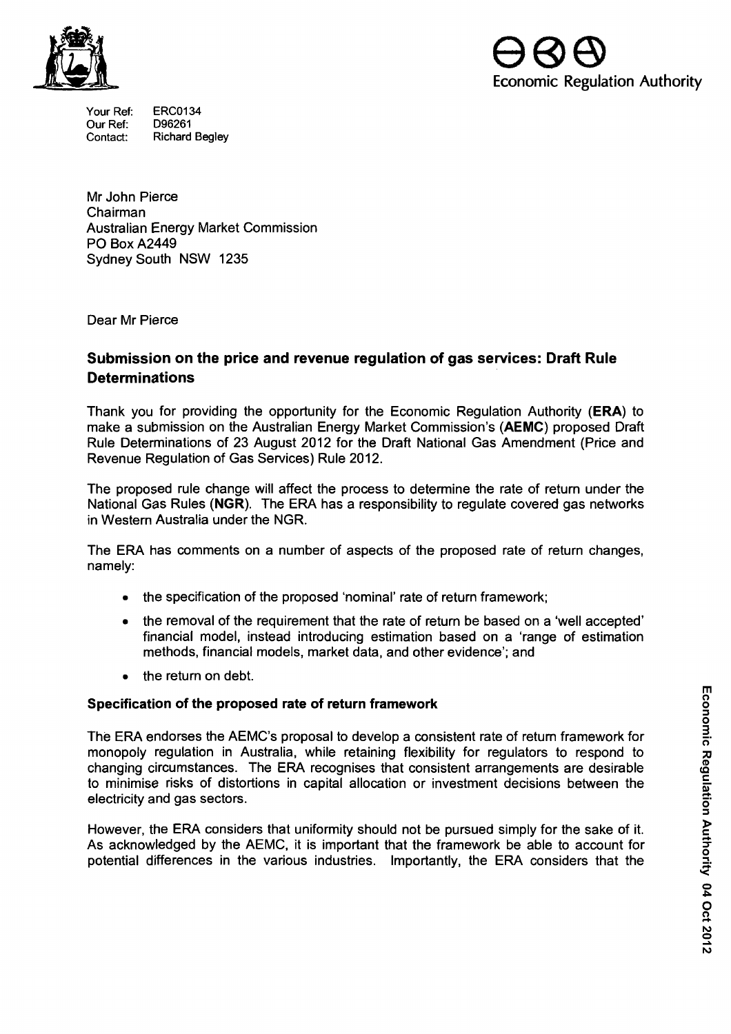

Your Ref: ERC0134 Our Ref: D96261 Contact: Richard Begley



Mr John Pierce Chairman Australian Energy Market Commission PO Box A2449 Sydney South NSW 1235

Dear Mr Pierce

## **Submission on the price and revenue regulation of gas services: Draft Rule Determinations**

Thank you for providing the opportunity for the Economic Regulation Authority (ERA) to make a submission on the Australian Energy Market Commission's (AEMC) proposed Draft Rule Determinations of 23 August 2012 for the Draft National Gas Amendment (Price and Revenue Regulation of Gas Services) Rule 2012.

The proposed rule change will affect the process to determine the rate of return under the National Gas Rules (NGR). The ERA has a responsibility to regulate covered gas networks in Western Australia under the NGR.

The ERA has comments on a number of aspects of the proposed rate of return changes, namely:

- the specification of the proposed 'nominal' rate of return framework;
- the removal of the requirement that the rate of return be based on a 'well accepted' financial model, instead introducing estimation based on a 'range of estimation methods, financial models, market data, and other evidence'; and
- the return on debt.

## Specification of the proposed rate of return framework

The ERA endorses the AEMC's proposal to develop a consistent rate of retum framework for ~ monopoly regulation in Australia, while retaining flexibility for regulators to respond to 73 changing circumstances. The ERA recognises that consistent arrangements are desirable to minimise risks of distortions in capital allocation or investment decisions between the electricity and gas sectors.

However, the ERA considers that uniformity should not be pursued simply for the sake of it. As acknowledged by the AEMC, it is important that the framework be able to account for ^ potential differences in the various industries. Importantly, the ERA considers that the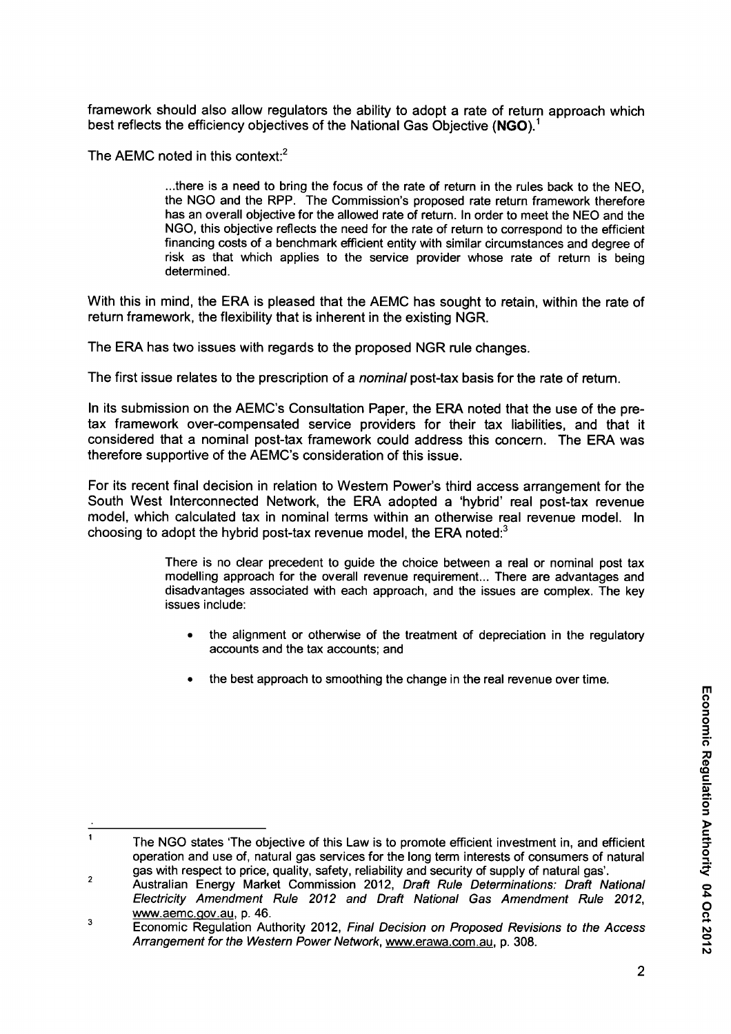framework should also allow regulators the ability to adopt a rate of return approach which best reflects the efficiency objectives of the National Gas Objective ( $NGO$ ).<sup>1</sup>

The AEMC noted in this context: $2$ 

...there is a need to bring the focus of the rate of return in the rules back to the NEO, the NGO and the RPR. The Commission's proposed rate return framework therefore has an overall objective for the allowed rate of return. In order to meet the NEO and the NGO, this objective reflects the need for the rate of return to correspond to the efficient financing costs of a benchmark efficient entity with similar circumstances and degree of risk as that which applies to the service provider whose rate of return is being determined.

With this in mind, the ERA is pleased that the AEMC has sought to retain, within the rate of return framework, the flexibility that is inherent in the existing NGR.

The ERA has two issues with regards to the proposed NGR mle changes.

The first issue relates to the prescription of a *nominal* post-tax basis for the rate of retum.

In its submission on the AEMC's Consultation Paper, the ERA noted that the use of the pretax framework over-compensated service providers for their tax liabilities, and that it considered that a nominal post-tax framework could address this concern. The ERA was therefore supportive of the AEMC's consideration of this issue.

For its recent final decision in relation to Westem Power's third access arrangement for the South West Interconnected Network, the ERA adopted a 'hybrid' real post-tax revenue model, which calculated tax in nominal terms within an othenwise real revenue model. In choosing to adopt the hybrid post-tax revenue model, the ERA noted: $3$ 

> There is no clear precedent to guide the choice between a real or nominal post tax modelling approach for the overall revenue requirement... There are advantages and disadvantages associated with each approach, and the issues are complex. The key issues include:

- the alignment or otherwise of the treatment of depreciation in the regulatory accounts and the tax accounts; and
- the best approach to smoothing the change in the real revenue over time.

The NGO states 'The objective of this Law is to promote efficient investment in, and efficient operation and use of, natural gas services for the long term interests of consumers of natural °\_ gas with respect to price, quality, safety, reliability and security of supply of natural gas'. <

<sup>&</sup>lt;sup>2</sup> Australian Energy Market Commission 2012, Draft Rule Determinations: Draft National Electricity Amendment Rule 2012 and Draft National Gas Amendment Rule 2012, ^ www.aemc.gov.au, p. 46.

<sup>3</sup> Economic Regulation Authority 2012, Final Decision on Proposed Revisions to the Access Arrangement for the Western Power Network, www.erawa.com.au. p. 308.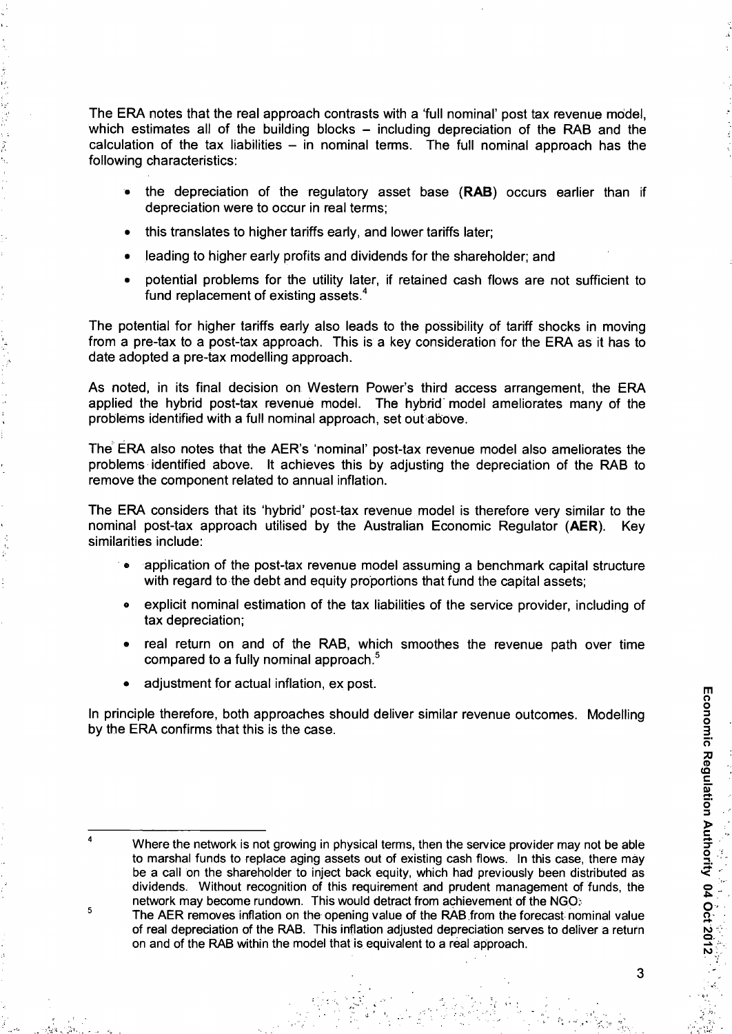The ERA notes that the real approach contrasts with a 'full nominal' post tax revenue model, which estimates all of the building blocks - including depreciation of the RAB and the calculation of the tax liabilities  $-$  in nominal terms. The full nominal approach has the following characteristics:

- the depreciation of the regulatory asset base (RAB) occurs earlier than if depreciation were to occur in real terms;
- this translates to higher tariffs eariy, and lower tariffs later;
- leading to higher early profits and dividends for the shareholder; and
- potential problems for the utility later, if retained cash flows are not sufficient to fund replacement of existing assets.<sup>4</sup>

The potential for higher tariffs early also leads to the possibility of tariff shocks in moving from a pre-tax to a post-tax approach. This is a key consideration for the ERA as it has to date adopted a pre-tax modelling approach.

As noted, in its final decision on Western Power's third access arrangement, the ERA applied the hybrid post-tax revenue model. The hybrid model ameliorates many of the problems identified with a full nominal approach, set out above.

The ERA also notes that the AER's 'nominal' post-tax revenue model also ameliorates the problems identified above. It achieves this by adjusting the depreciation of the RAB to remove the component related to annual inflation.

The ERA considers that its 'hybrid' post-tax revenue model is therefore very similar to the nominal post-tax approach utilised by the Australian Economic Regulator (AER). Key similarities include:

- application of the post-tax revenue model assuming a benchmark capital structure with regard to the debt and equity proportions that fund the capital assets;
- o explicit nominal estimation of the tax liabilities of the service provider, including of tax depreciation;
- real return on and of the RAB, which smoothes the revenue path over time compared to a fully nominal approach. $5$
- adjustment for actual inflation, ex post.

In principle therefore, both approaches should deliver similar revenue outcomes. Modelling by the ERA confirms that this is the case.

Where the network is not growing in physical terms, then the service provider may not be able to marshal funds to replace aging assets out of existing cash flows. In this case, there may be a call on the shareholder to inject back equity, which had previously been distributed as dividends. Without recognition of this requirement and prudent management of funds, the network may become rundown. This would detract from achievement of the NGO:-

<sup>&</sup>lt;sup>5</sup> The AER removes inflation on the opening value of the RAB from the forecast nominal value of real depreciation of the RAB. This inflation adjusted depreciation serves to deliver a return ^ on and of the RAB within the model that is equivalent to a real approach.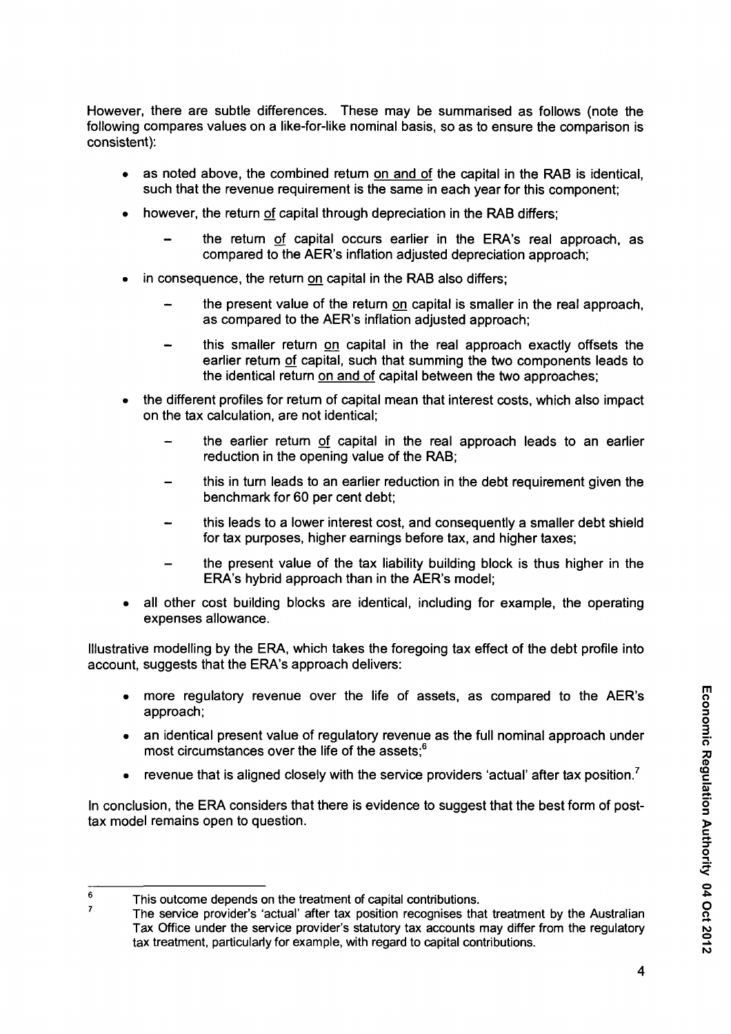However, there are subtle differences. These may be summarised as follows (note the following compares values on a like-for-like nominal basis, so as to ensure the comparison is consistent):

- as noted above, the combined retum on and of the capital in the RAB is identical, such that the revenue requirement is the same in each year for this component;
- however, the return of capital through depreciation in the RAB differs;
	- the retum of capital occurs eariier in the ERA's real approach, as compared to the AER's inflation adjusted depreciation approach;
- in consequence, the return on capital in the RAB also differs;
	- the present value of the return on capital is smaller in the real approach, as compared to the AER's inflation adjusted approach;
	- this smaller retum on capital in the real approach exactly offsets the eariier retum of capital, such that summing the two components leads to the identical return on and of capital between the two approaches;
- the different profiles for retum of capital mean that interest costs, which also impact on the tax calculation, are not identical;
	- the eariier retum of capital in the real approach leads to an eariier reduction in the opening value of the RAB;
	- this in turn leads to an eariier reduction in the debt requirement given the benchmark for 60 per cent debt;
	- this leads to a lower interest cost, and consequently a smaller debt shield for tax purposes, higher earnings before tax, and higher taxes;
	- the present value of the tax liability building block is thus higher in the ERA'S hybrid approach than in the AER's model;
- all other cost building blocks are identical, including for example, the operating expenses allowance.

Illustrative modelling by the ERA, which takes the foregoing tax effect of the debt profile into account, suggests that the ERA'S approach delivers:

- more regulatory revenue over the life of assets, as compared to the AER's approach; 3
- an identical present value of regulatory revenue as the full nominal approach under most circumstances over the life of the assets; $<sup>6</sup>$ </sup>
- revenue that is aligned closely with the service providers 'actual' after tax position.<sup> $7$ </sup>

In conclusion, the ERA considers that there is evidence to suggest that the best form of posttax model remains open to question.

<sup>6</sup> This outcome depends on the treatment of capital contributions.  $\overline{z}$ 

The service provider's 'actual' after tax position recognises that treatment by the Australian Tax Office under the service provider's statutory tax accounts may differ from the regulatory tax treatment, particularly for example, with regard to capital contributions.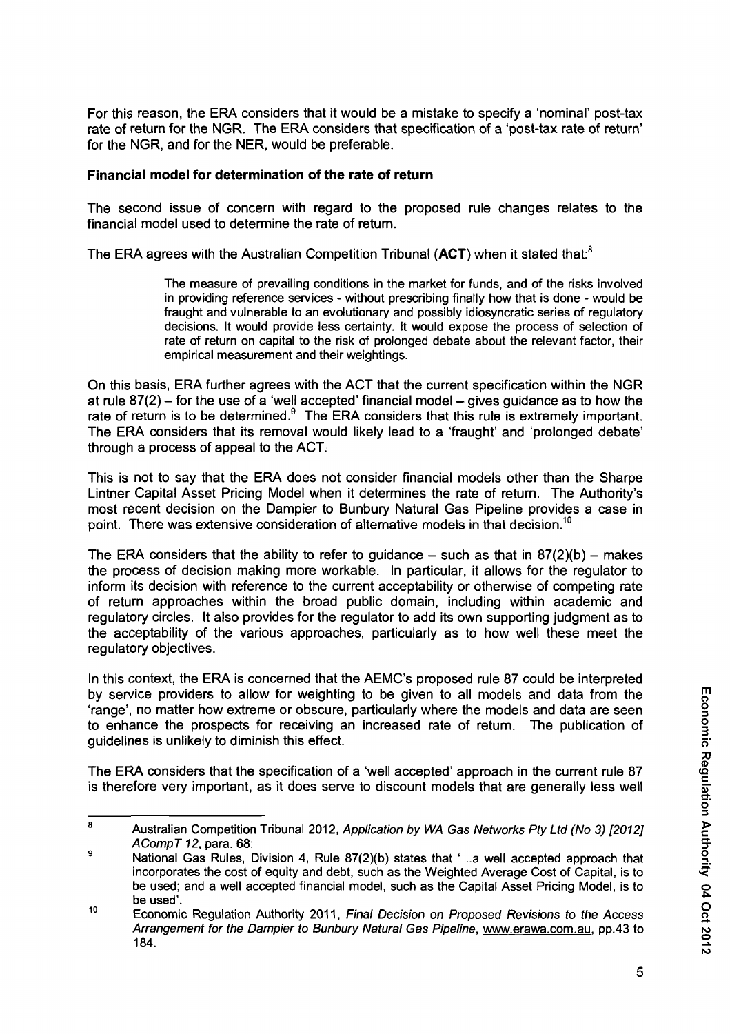For this reason, the ERA considers that it would be a mistake to specify a 'nominal' post-tax rate of return for the NGR. The ERA considers that specification of a 'post-tax rate of return' for the NGR, and for the NER, would be preferable.

## **Financial model for determination of the rate of return**

The second issue of concern with regard to the proposed rule changes relates to the financial model used to determine the rate of retum.

The ERA agrees with the Australian Competition Tribunal ( $ACT$ ) when it stated that:<sup>8</sup>

The measure of prevailing conditions in the market for funds, and of the risks involved in providing reference services - without prescribing finally how that is done - would be fraught and vulnerable to an evolutionary and possibly idiosyncratic series of regulatory decisions. It would provide less certainty. It would expose the process of selection of rate of return on capital to the risk of prolonged debate about the relevant factor, their empirical measurement and their weightings.

On this basis, ERA further agrees with the ACT that the current specification within the NGR at rule  $87(2)$  – for the use of a 'well accepted' financial model – gives guidance as to how the rate of return is to be determined. $<sup>9</sup>$  The ERA considers that this rule is extremely important.</sup> The ERA considers that its removal would likely lead to a 'fraught' and 'prolonged debate' through a process of appeal to the ACT.

This is not to say that the ERA does not consider financial models other than the Sharpe Lintner Capital Asset Pricing Model when it determines the rate of return. The Authority's most recent decision on the Dampier to Bunbury Natural Gas Pipeline provides a case in point. There was extensive consideration of alternative models in that decision.<sup>10</sup>

The ERA considers that the ability to refer to guidance – such as that in  $87(2)(b)$  – makes the process of decision making more workable. In particular, it allows for the regulator to inform its decision with reference to the current acceptability or othenwise of competing rate of return approaches within the broad public domain, including within academic and regulatory circles. It also provides for the regulator to add its own supporting judgment as to the acceptability of the various approaches, particulariy as to how well these meet the regulatory objectives.

In this context, the ERA is concerned that the AEMC's proposed rule 87 could be interpreted by service providers to allow for weighting to be given to all models and data from the ^ 'range', no matter how extreme or obscure, particulariy where the models and data are seen ° to enhance the prospects for receiving an increased rate of return. The publication of guidelines is unlikely to diminish this effect.

The ERA considers that the specification of a 'well accepted' approach in the current rule 87 is therefore very important, as it does serve to discount models that are generally less well

<sup>8</sup> Australian Competition Tribunal 2012, Application by WA Gas Networks Pty Ltd (No 3) [2012]  $ACompT$  12, para. 68;

<sup>9</sup> National Gas Rules, Division 4, Rule 87(2)(b) states that ' ..a well accepted approach that incorporates the cost of equity and debt, such as the Weighted Average Cost of Capital, is to < **be used; and a well accepted financial model, such as the Capital Asset Pricing Model, is to o**  be used'.

<sup>10</sup>  Economic Regulation Authority 2011, Final Decision on Proposed Revisions to the Access o Arrangement for the Dampier to Bunbury Natural Gas Pipeline, www.erawa.com.au, pp.43 to **184. 2**